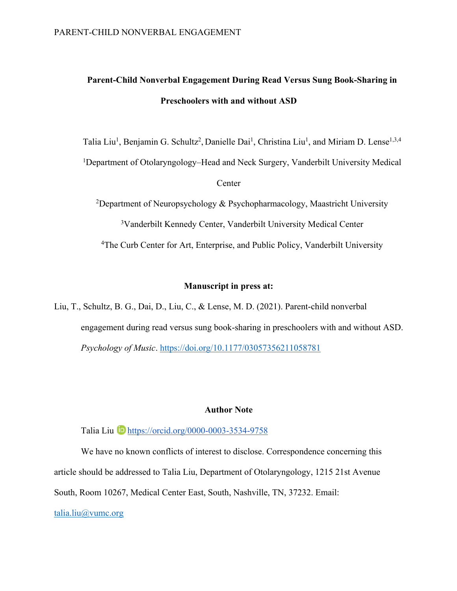# **Parent-Child Nonverbal Engagement During Read Versus Sung Book-Sharing in Preschoolers with and without ASD**

Talia Liu<sup>1</sup>, Benjamin G. Schultz<sup>2</sup>, Danielle Dai<sup>1</sup>, Christina Liu<sup>1</sup>, and Miriam D. Lense<sup>1,3,4</sup>

<sup>1</sup>Department of Otolaryngology-Head and Neck Surgery, Vanderbilt University Medical

**Center** 

<sup>2</sup>Department of Neuropsychology & Psychopharmacology, Maastricht University

3 Vanderbilt Kennedy Center, Vanderbilt University Medical Center

<sup>4</sup>The Curb Center for Art, Enterprise, and Public Policy, Vanderbilt University

#### **Manuscript in press at:**

Liu, T., Schultz, B. G., Dai, D., Liu, C., & Lense, M. D. (2021). Parent-child nonverbal engagement during read versus sung book-sharing in preschoolers with and without ASD. *Psychology of Music*. https://doi.org/10.1177/03057356211058781

#### **Author Note**

Talia Liu https://orcid.org/0000-0003-3534-9758

We have no known conflicts of interest to disclose. Correspondence concerning this article should be addressed to Talia Liu, Department of Otolaryngology, 1215 21st Avenue South, Room 10267, Medical Center East, South, Nashville, TN, 37232. Email:

talia.liu@vumc.org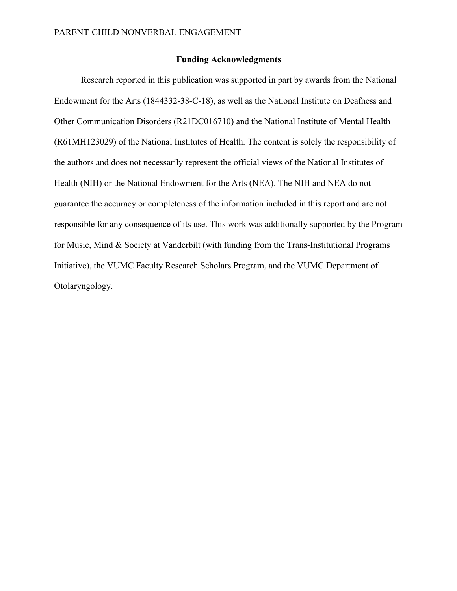#### **Funding Acknowledgments**

Research reported in this publication was supported in part by awards from the National Endowment for the Arts (1844332-38-C-18), as well as the National Institute on Deafness and Other Communication Disorders (R21DC016710) and the National Institute of Mental Health (R61MH123029) of the National Institutes of Health. The content is solely the responsibility of the authors and does not necessarily represent the official views of the National Institutes of Health (NIH) or the National Endowment for the Arts (NEA). The NIH and NEA do not guarantee the accuracy or completeness of the information included in this report and are not responsible for any consequence of its use. This work was additionally supported by the Program for Music, Mind & Society at Vanderbilt (with funding from the Trans-Institutional Programs Initiative), the VUMC Faculty Research Scholars Program, and the VUMC Department of Otolaryngology.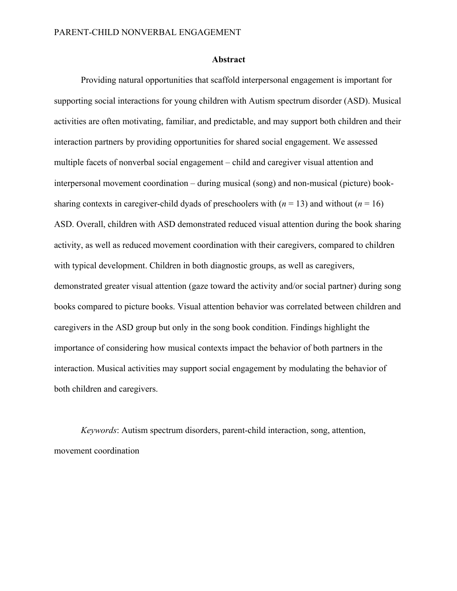#### **Abstract**

Providing natural opportunities that scaffold interpersonal engagement is important for supporting social interactions for young children with Autism spectrum disorder (ASD). Musical activities are often motivating, familiar, and predictable, and may support both children and their interaction partners by providing opportunities for shared social engagement. We assessed multiple facets of nonverbal social engagement – child and caregiver visual attention and interpersonal movement coordination – during musical (song) and non-musical (picture) booksharing contexts in caregiver-child dyads of preschoolers with  $(n = 13)$  and without  $(n = 16)$ ASD. Overall, children with ASD demonstrated reduced visual attention during the book sharing activity, as well as reduced movement coordination with their caregivers, compared to children with typical development. Children in both diagnostic groups, as well as caregivers, demonstrated greater visual attention (gaze toward the activity and/or social partner) during song books compared to picture books. Visual attention behavior was correlated between children and caregivers in the ASD group but only in the song book condition. Findings highlight the importance of considering how musical contexts impact the behavior of both partners in the interaction. Musical activities may support social engagement by modulating the behavior of both children and caregivers.

*Keywords*: Autism spectrum disorders, parent-child interaction, song, attention, movement coordination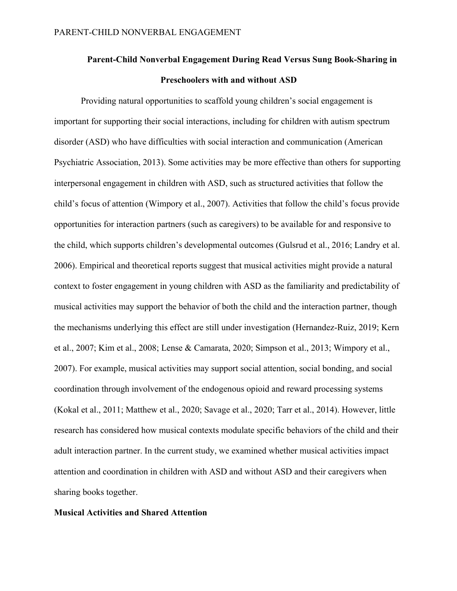# **Parent-Child Nonverbal Engagement During Read Versus Sung Book-Sharing in Preschoolers with and without ASD**

Providing natural opportunities to scaffold young children's social engagement is important for supporting their social interactions, including for children with autism spectrum disorder (ASD) who have difficulties with social interaction and communication (American Psychiatric Association, 2013). Some activities may be more effective than others for supporting interpersonal engagement in children with ASD, such as structured activities that follow the child's focus of attention (Wimpory et al., 2007). Activities that follow the child's focus provide opportunities for interaction partners (such as caregivers) to be available for and responsive to the child, which supports children's developmental outcomes (Gulsrud et al., 2016; Landry et al. 2006). Empirical and theoretical reports suggest that musical activities might provide a natural context to foster engagement in young children with ASD as the familiarity and predictability of musical activities may support the behavior of both the child and the interaction partner, though the mechanisms underlying this effect are still under investigation (Hernandez-Ruiz, 2019; Kern et al., 2007; Kim et al., 2008; Lense & Camarata, 2020; Simpson et al., 2013; Wimpory et al., 2007). For example, musical activities may support social attention, social bonding, and social coordination through involvement of the endogenous opioid and reward processing systems (Kokal et al., 2011; Matthew et al., 2020; Savage et al., 2020; Tarr et al., 2014). However, little research has considered how musical contexts modulate specific behaviors of the child and their adult interaction partner. In the current study, we examined whether musical activities impact attention and coordination in children with ASD and without ASD and their caregivers when sharing books together.

#### **Musical Activities and Shared Attention**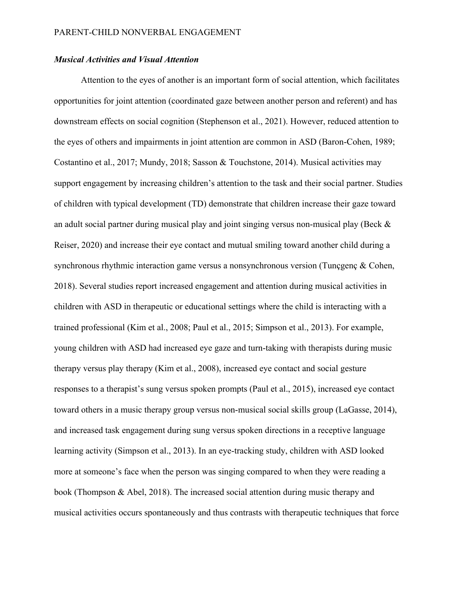#### *Musical Activities and Visual Attention*

Attention to the eyes of another is an important form of social attention, which facilitates opportunities for joint attention (coordinated gaze between another person and referent) and has downstream effects on social cognition (Stephenson et al., 2021). However, reduced attention to the eyes of others and impairments in joint attention are common in ASD (Baron-Cohen, 1989; Costantino et al., 2017; Mundy, 2018; Sasson & Touchstone, 2014). Musical activities may support engagement by increasing children's attention to the task and their social partner. Studies of children with typical development (TD) demonstrate that children increase their gaze toward an adult social partner during musical play and joint singing versus non-musical play (Beck & Reiser, 2020) and increase their eye contact and mutual smiling toward another child during a synchronous rhythmic interaction game versus a nonsynchronous version (Tunçgenç & Cohen, 2018). Several studies report increased engagement and attention during musical activities in children with ASD in therapeutic or educational settings where the child is interacting with a trained professional (Kim et al., 2008; Paul et al., 2015; Simpson et al., 2013). For example, young children with ASD had increased eye gaze and turn-taking with therapists during music therapy versus play therapy (Kim et al., 2008), increased eye contact and social gesture responses to a therapist's sung versus spoken prompts (Paul et al., 2015), increased eye contact toward others in a music therapy group versus non-musical social skills group (LaGasse, 2014), and increased task engagement during sung versus spoken directions in a receptive language learning activity (Simpson et al., 2013). In an eye-tracking study, children with ASD looked more at someone's face when the person was singing compared to when they were reading a book (Thompson & Abel, 2018). The increased social attention during music therapy and musical activities occurs spontaneously and thus contrasts with therapeutic techniques that force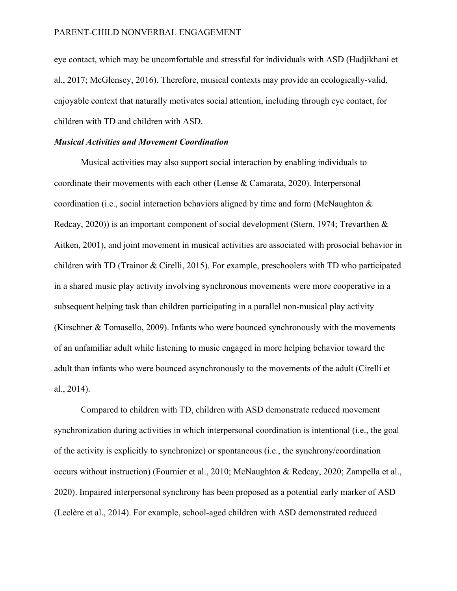eye contact, which may be uncomfortable and stressful for individuals with ASD (Hadjikhani et al., 2017; McGlensey, 2016). Therefore, musical contexts may provide an ecologically-valid, enjoyable context that naturally motivates social attention, including through eye contact, for children with TD and children with ASD.

#### *Musical Activities and Movement Coordination*

Musical activities may also support social interaction by enabling individuals to coordinate their movements with each other (Lense & Camarata, 2020). Interpersonal coordination (i.e., social interaction behaviors aligned by time and form (McNaughton & Redcay, 2020)) is an important component of social development (Stern, 1974; Trevarthen & Aitken, 2001), and joint movement in musical activities are associated with prosocial behavior in children with TD (Trainor & Cirelli, 2015). For example, preschoolers with TD who participated in a shared music play activity involving synchronous movements were more cooperative in a subsequent helping task than children participating in a parallel non-musical play activity (Kirschner & Tomasello, 2009). Infants who were bounced synchronously with the movements of an unfamiliar adult while listening to music engaged in more helping behavior toward the adult than infants who were bounced asynchronously to the movements of the adult (Cirelli et al., 2014).

Compared to children with TD, children with ASD demonstrate reduced movement synchronization during activities in which interpersonal coordination is intentional (i.e., the goal of the activity is explicitly to synchronize) or spontaneous (i.e., the synchrony/coordination occurs without instruction) (Fournier et al., 2010; McNaughton & Redcay, 2020; Zampella et al., 2020). Impaired interpersonal synchrony has been proposed as a potential early marker of ASD (Leclère et al., 2014). For example, school-aged children with ASD demonstrated reduced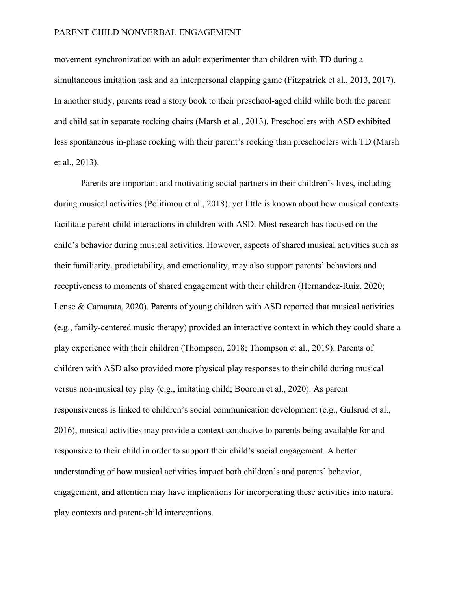movement synchronization with an adult experimenter than children with TD during a simultaneous imitation task and an interpersonal clapping game (Fitzpatrick et al., 2013, 2017). In another study, parents read a story book to their preschool-aged child while both the parent and child sat in separate rocking chairs (Marsh et al., 2013). Preschoolers with ASD exhibited less spontaneous in-phase rocking with their parent's rocking than preschoolers with TD (Marsh et al., 2013).

Parents are important and motivating social partners in their children's lives, including during musical activities (Politimou et al., 2018), yet little is known about how musical contexts facilitate parent-child interactions in children with ASD. Most research has focused on the child's behavior during musical activities. However, aspects of shared musical activities such as their familiarity, predictability, and emotionality, may also support parents' behaviors and receptiveness to moments of shared engagement with their children (Hernandez-Ruiz, 2020; Lense & Camarata, 2020). Parents of young children with ASD reported that musical activities (e.g., family-centered music therapy) provided an interactive context in which they could share a play experience with their children (Thompson, 2018; Thompson et al., 2019). Parents of children with ASD also provided more physical play responses to their child during musical versus non-musical toy play (e.g., imitating child; Boorom et al., 2020). As parent responsiveness is linked to children's social communication development (e.g., Gulsrud et al., 2016), musical activities may provide a context conducive to parents being available for and responsive to their child in order to support their child's social engagement. A better understanding of how musical activities impact both children's and parents' behavior, engagement, and attention may have implications for incorporating these activities into natural play contexts and parent-child interventions.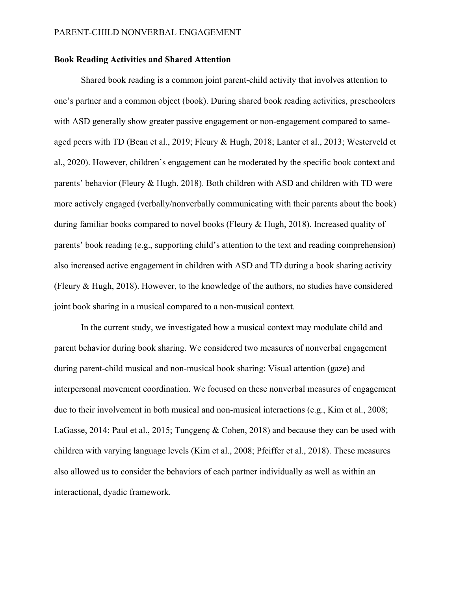#### **Book Reading Activities and Shared Attention**

Shared book reading is a common joint parent-child activity that involves attention to one's partner and a common object (book). During shared book reading activities, preschoolers with ASD generally show greater passive engagement or non-engagement compared to sameaged peers with TD (Bean et al., 2019; Fleury & Hugh, 2018; Lanter et al., 2013; Westerveld et al., 2020). However, children's engagement can be moderated by the specific book context and parents' behavior (Fleury & Hugh, 2018). Both children with ASD and children with TD were more actively engaged (verbally/nonverbally communicating with their parents about the book) during familiar books compared to novel books (Fleury & Hugh, 2018). Increased quality of parents' book reading (e.g., supporting child's attention to the text and reading comprehension) also increased active engagement in children with ASD and TD during a book sharing activity (Fleury & Hugh, 2018). However, to the knowledge of the authors, no studies have considered joint book sharing in a musical compared to a non-musical context.

In the current study, we investigated how a musical context may modulate child and parent behavior during book sharing. We considered two measures of nonverbal engagement during parent-child musical and non-musical book sharing: Visual attention (gaze) and interpersonal movement coordination. We focused on these nonverbal measures of engagement due to their involvement in both musical and non-musical interactions (e.g., Kim et al., 2008; LaGasse, 2014; Paul et al., 2015; Tunçgenç & Cohen, 2018) and because they can be used with children with varying language levels (Kim et al., 2008; Pfeiffer et al., 2018). These measures also allowed us to consider the behaviors of each partner individually as well as within an interactional, dyadic framework.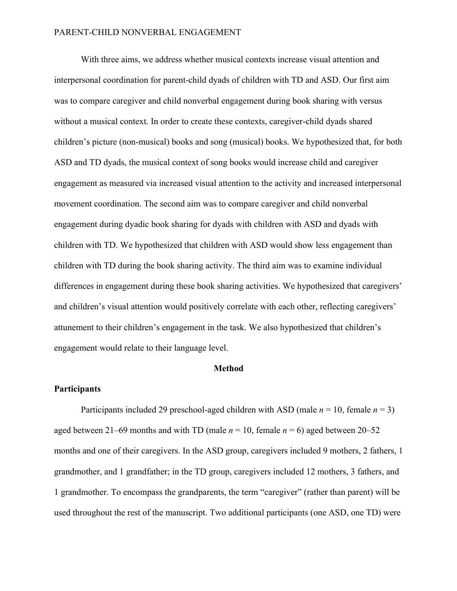With three aims, we address whether musical contexts increase visual attention and interpersonal coordination for parent-child dyads of children with TD and ASD. Our first aim was to compare caregiver and child nonverbal engagement during book sharing with versus without a musical context. In order to create these contexts, caregiver-child dyads shared children's picture (non-musical) books and song (musical) books. We hypothesized that, for both ASD and TD dyads, the musical context of song books would increase child and caregiver engagement as measured via increased visual attention to the activity and increased interpersonal movement coordination. The second aim was to compare caregiver and child nonverbal engagement during dyadic book sharing for dyads with children with ASD and dyads with children with TD. We hypothesized that children with ASD would show less engagement than children with TD during the book sharing activity. The third aim was to examine individual differences in engagement during these book sharing activities. We hypothesized that caregivers' and children's visual attention would positively correlate with each other, reflecting caregivers' attunement to their children's engagement in the task. We also hypothesized that children's engagement would relate to their language level.

#### **Method**

#### **Participants**

Participants included 29 preschool-aged children with ASD (male  $n = 10$ , female  $n = 3$ ) aged between 21–69 months and with TD (male  $n = 10$ , female  $n = 6$ ) aged between 20–52 months and one of their caregivers. In the ASD group, caregivers included 9 mothers, 2 fathers, 1 grandmother, and 1 grandfather; in the TD group, caregivers included 12 mothers, 3 fathers, and 1 grandmother. To encompass the grandparents, the term "caregiver" (rather than parent) will be used throughout the rest of the manuscript. Two additional participants (one ASD, one TD) were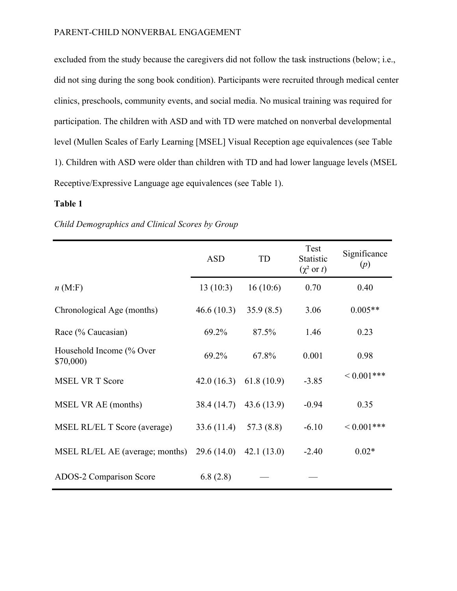excluded from the study because the caregivers did not follow the task instructions (below; i.e., did not sing during the song book condition). Participants were recruited through medical center clinics, preschools, community events, and social media. No musical training was required for participation. The children with ASD and with TD were matched on nonverbal developmental level (Mullen Scales of Early Learning [MSEL] Visual Reception age equivalences (see Table 1). Children with ASD were older than children with TD and had lower language levels (MSEL Receptive/Expressive Language age equivalences (see Table 1).

#### **Table 1**

|                                       | <b>ASD</b> | TD         | Test<br>Statistic<br>$(\chi^2$ or t) | Significance<br>(p) |
|---------------------------------------|------------|------------|--------------------------------------|---------------------|
| n(M:F)                                | 13(10:3)   | 16(10:6)   | 0.70                                 | 0.40                |
| Chronological Age (months)            | 46.6(10.3) | 35.9(8.5)  | 3.06                                 | $0.005**$           |
| Race (% Caucasian)                    | 69.2%      | 87.5%      | 1.46                                 | 0.23                |
| Household Income (% Over<br>\$70,000) | 69.2%      | 67.8%      | 0.001                                | 0.98                |
| <b>MSEL VR T Score</b>                | 42.0(16.3) | 61.8(10.9) | $-3.85$                              | ${}<0.001***$       |
| MSEL VR AE (months)                   | 38.4(14.7) | 43.6(13.9) | $-0.94$                              | 0.35                |
| MSEL RL/EL T Score (average)          | 33.6(11.4) | 57.3(8.8)  | $-6.10$                              | ${}<0.001***$       |
| MSEL RL/EL AE (average; months)       | 29.6(14.0) | 42.1(13.0) | $-2.40$                              | $0.02*$             |
| ADOS-2 Comparison Score               | 6.8(2.8)   |            |                                      |                     |

*Child Demographics and Clinical Scores by Group*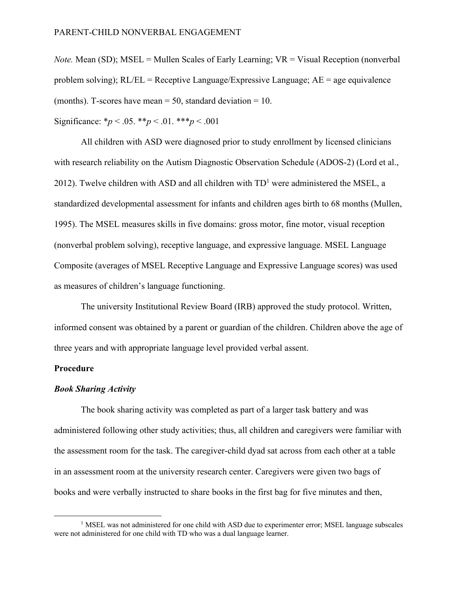*Note.* Mean (SD); MSEL = Mullen Scales of Early Learning; VR = Visual Reception (nonverbal problem solving);  $RL/EL =$  Receptive Language/Expressive Language;  $AE =$  age equivalence (months). T-scores have mean  $= 50$ , standard deviation  $= 10$ .

Significance:  $* p < .05$ .  $* p < .01$ .  $* * p < .001$ 

All children with ASD were diagnosed prior to study enrollment by licensed clinicians with research reliability on the Autism Diagnostic Observation Schedule (ADOS-2) (Lord et al., 2012). Twelve children with ASD and all children with  $TD<sup>1</sup>$  were administered the MSEL, a standardized developmental assessment for infants and children ages birth to 68 months (Mullen, 1995). The MSEL measures skills in five domains: gross motor, fine motor, visual reception (nonverbal problem solving), receptive language, and expressive language. MSEL Language Composite (averages of MSEL Receptive Language and Expressive Language scores) was used as measures of children's language functioning.

The university Institutional Review Board (IRB) approved the study protocol. Written, informed consent was obtained by a parent or guardian of the children. Children above the age of three years and with appropriate language level provided verbal assent.

#### **Procedure**

#### *Book Sharing Activity*

The book sharing activity was completed as part of a larger task battery and was administered following other study activities; thus, all children and caregivers were familiar with the assessment room for the task. The caregiver-child dyad sat across from each other at a table in an assessment room at the university research center. Caregivers were given two bags of books and were verbally instructed to share books in the first bag for five minutes and then,

 $1$  MSEL was not administered for one child with ASD due to experimenter error; MSEL language subscales were not administered for one child with TD who was a dual language learner.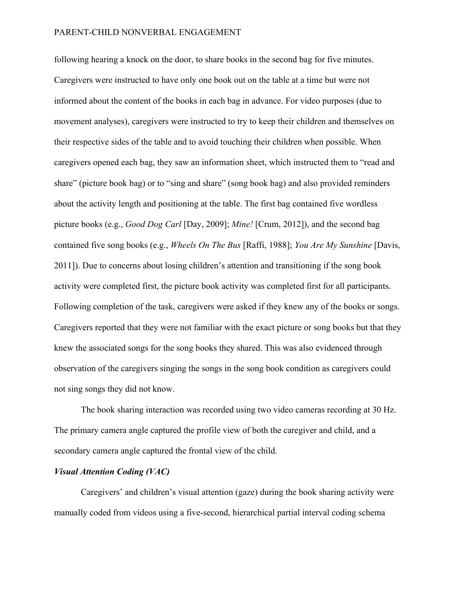following hearing a knock on the door, to share books in the second bag for five minutes. Caregivers were instructed to have only one book out on the table at a time but were not informed about the content of the books in each bag in advance. For video purposes (due to movement analyses), caregivers were instructed to try to keep their children and themselves on their respective sides of the table and to avoid touching their children when possible. When caregivers opened each bag, they saw an information sheet, which instructed them to "read and share" (picture book bag) or to "sing and share" (song book bag) and also provided reminders about the activity length and positioning at the table. The first bag contained five wordless picture books (e.g., *Good Dog Carl* [Day, 2009]; *Mine!* [Crum, 2012]), and the second bag contained five song books (e.g., *Wheels On The Bus* [Raffi, 1988]; *You Are My Sunshine* [Davis, 2011]). Due to concerns about losing children's attention and transitioning if the song book activity were completed first, the picture book activity was completed first for all participants. Following completion of the task, caregivers were asked if they knew any of the books or songs. Caregivers reported that they were not familiar with the exact picture or song books but that they knew the associated songs for the song books they shared. This was also evidenced through observation of the caregivers singing the songs in the song book condition as caregivers could not sing songs they did not know.

The book sharing interaction was recorded using two video cameras recording at 30 Hz. The primary camera angle captured the profile view of both the caregiver and child, and a secondary camera angle captured the frontal view of the child.

#### *Visual Attention Coding (VAC)*

Caregivers' and children's visual attention (gaze) during the book sharing activity were manually coded from videos using a five-second, hierarchical partial interval coding schema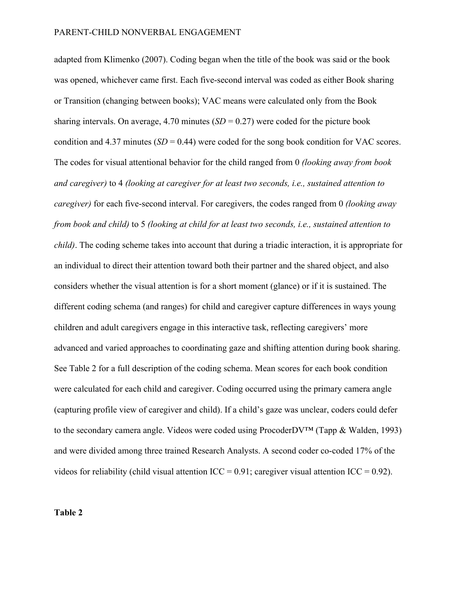adapted from Klimenko (2007). Coding began when the title of the book was said or the book was opened, whichever came first. Each five-second interval was coded as either Book sharing or Transition (changing between books); VAC means were calculated only from the Book sharing intervals. On average,  $4.70$  minutes  $(SD = 0.27)$  were coded for the picture book condition and 4.37 minutes  $(SD = 0.44)$  were coded for the song book condition for VAC scores. The codes for visual attentional behavior for the child ranged from 0 *(looking away from book and caregiver)* to 4 *(looking at caregiver for at least two seconds, i.e., sustained attention to caregiver)* for each five-second interval. For caregivers, the codes ranged from 0 *(looking away from book and child)* to 5 *(looking at child for at least two seconds, i.e., sustained attention to child)*. The coding scheme takes into account that during a triadic interaction, it is appropriate for an individual to direct their attention toward both their partner and the shared object, and also considers whether the visual attention is for a short moment (glance) or if it is sustained. The different coding schema (and ranges) for child and caregiver capture differences in ways young children and adult caregivers engage in this interactive task, reflecting caregivers' more advanced and varied approaches to coordinating gaze and shifting attention during book sharing. See Table 2 for a full description of the coding schema. Mean scores for each book condition were calculated for each child and caregiver. Coding occurred using the primary camera angle (capturing profile view of caregiver and child). If a child's gaze was unclear, coders could defer to the secondary camera angle. Videos were coded using ProcoderDV™ (Tapp & Walden, 1993) and were divided among three trained Research Analysts. A second coder co-coded 17% of the videos for reliability (child visual attention  $ICC = 0.91$ ; caregiver visual attention  $ICC = 0.92$ ).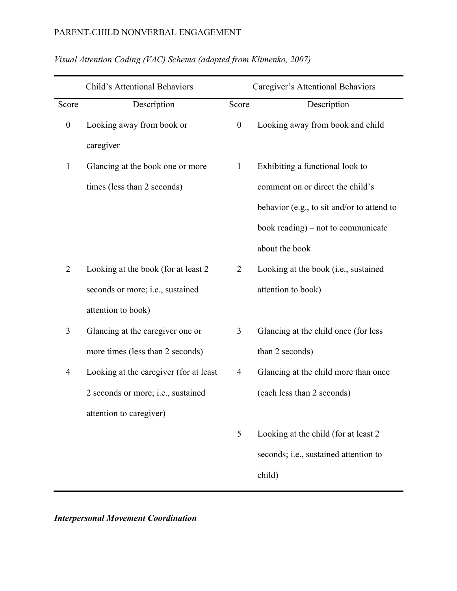|                  | Child's Attentional Behaviors          |                  | Caregiver's Attentional Behaviors          |  |
|------------------|----------------------------------------|------------------|--------------------------------------------|--|
| Score            | Description                            | Score            | Description                                |  |
| $\boldsymbol{0}$ | Looking away from book or              | $\boldsymbol{0}$ | Looking away from book and child           |  |
|                  | caregiver                              |                  |                                            |  |
| 1                | Glancing at the book one or more       | $\mathbf{1}$     | Exhibiting a functional look to            |  |
|                  | times (less than 2 seconds)            |                  | comment on or direct the child's           |  |
|                  |                                        |                  | behavior (e.g., to sit and/or to attend to |  |
|                  |                                        |                  | book reading) – not to communicate         |  |
|                  |                                        |                  | about the book                             |  |
| $\overline{2}$   | Looking at the book (for at least 2)   | $\overline{2}$   | Looking at the book (i.e., sustained       |  |
|                  | seconds or more; i.e., sustained       |                  | attention to book)                         |  |
|                  | attention to book)                     |                  |                                            |  |
| 3                | Glancing at the caregiver one or       | 3                | Glancing at the child once (for less       |  |
|                  | more times (less than 2 seconds)       |                  | than 2 seconds)                            |  |
| $\overline{4}$   | Looking at the caregiver (for at least | $\overline{4}$   | Glancing at the child more than once       |  |
|                  | 2 seconds or more; i.e., sustained     |                  | (each less than 2 seconds)                 |  |
|                  | attention to caregiver)                |                  |                                            |  |
|                  |                                        | 5                | Looking at the child (for at least 2)      |  |
|                  |                                        |                  | seconds; i.e., sustained attention to      |  |
|                  |                                        |                  | child)                                     |  |

# *Visual Attention Coding (VAC) Schema (adapted from Klimenko, 2007)*

*Interpersonal Movement Coordination*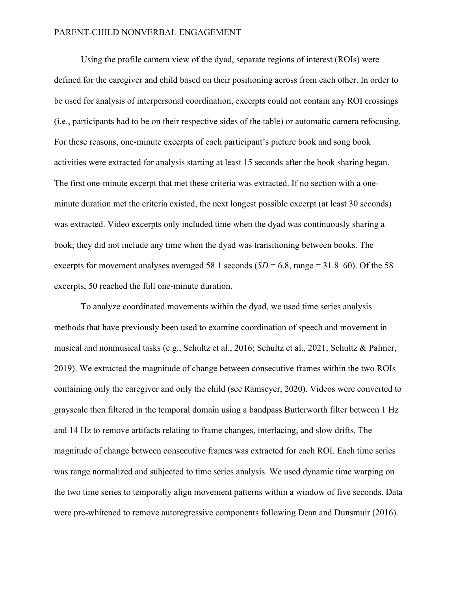Using the profile camera view of the dyad, separate regions of interest (ROIs) were defined for the caregiver and child based on their positioning across from each other. In order to be used for analysis of interpersonal coordination, excerpts could not contain any ROI crossings (i.e., participants had to be on their respective sides of the table) or automatic camera refocusing. For these reasons, one-minute excerpts of each participant's picture book and song book activities were extracted for analysis starting at least 15 seconds after the book sharing began. The first one-minute excerpt that met these criteria was extracted. If no section with a oneminute duration met the criteria existed, the next longest possible excerpt (at least 30 seconds) was extracted. Video excerpts only included time when the dyad was continuously sharing a book; they did not include any time when the dyad was transitioning between books. The excerpts for movement analyses averaged 58.1 seconds  $(SD = 6.8, \text{range} = 31.8-60)$ . Of the 58 excerpts, 50 reached the full one-minute duration.

To analyze coordinated movements within the dyad, we used time series analysis methods that have previously been used to examine coordination of speech and movement in musical and nonmusical tasks (e.g., Schultz et al., 2016; Schultz et al., 2021; Schultz & Palmer, 2019). We extracted the magnitude of change between consecutive frames within the two ROIs containing only the caregiver and only the child (see Ramseyer, 2020). Videos were converted to grayscale then filtered in the temporal domain using a bandpass Butterworth filter between 1 Hz and 14 Hz to remove artifacts relating to frame changes, interlacing, and slow drifts. The magnitude of change between consecutive frames was extracted for each ROI. Each time series was range normalized and subjected to time series analysis. We used dynamic time warping on the two time series to temporally align movement patterns within a window of five seconds. Data were pre-whitened to remove autoregressive components following Dean and Dunsmuir (2016).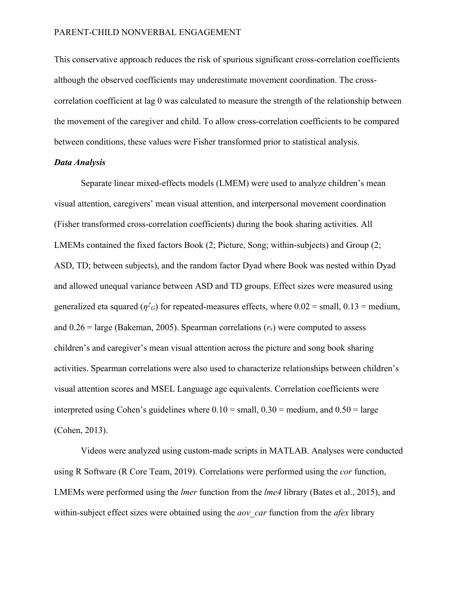This conservative approach reduces the risk of spurious significant cross-correlation coefficients although the observed coefficients may underestimate movement coordination. The crosscorrelation coefficient at lag 0 was calculated to measure the strength of the relationship between the movement of the caregiver and child. To allow cross-correlation coefficients to be compared between conditions, these values were Fisher transformed prior to statistical analysis.

#### *Data Analysis*

Separate linear mixed-effects models (LMEM) were used to analyze children's mean visual attention, caregivers' mean visual attention, and interpersonal movement coordination (Fisher transformed cross-correlation coefficients) during the book sharing activities. All LMEMs contained the fixed factors Book (2; Picture, Song; within-subjects) and Group (2; ASD, TD; between subjects), and the random factor Dyad where Book was nested within Dyad and allowed unequal variance between ASD and TD groups. Effect sizes were measured using generalized eta squared ( $\eta^2 G$ ) for repeated-measures effects, where  $0.02 = \text{small}, 0.13 = \text{medium},$ and  $0.26$  = large (Bakeman, 2005). Spearman correlations  $(r<sub>s</sub>)$  were computed to assess children's and caregiver's mean visual attention across the picture and song book sharing activities. Spearman correlations were also used to characterize relationships between children's visual attention scores and MSEL Language age equivalents. Correlation coefficients were interpreted using Cohen's guidelines where  $0.10 = \text{small}, 0.30 = \text{medium}, \text{and } 0.50 = \text{large}$ (Cohen, 2013).

Videos were analyzed using custom-made scripts in MATLAB. Analyses were conducted using R Software (R Core Team, 2019). Correlations were performed using the *cor* function, LMEMs were performed using the *lmer* function from the *lme4* library (Bates et al., 2015), and within-subject effect sizes were obtained using the *aov* car function from the *afex* library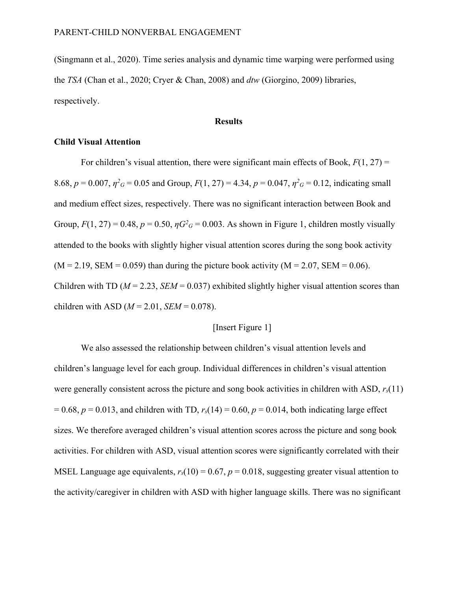(Singmann et al., 2020). Time series analysis and dynamic time warping were performed using the *TSA* (Chan et al., 2020; Cryer & Chan, 2008) and *dtw* (Giorgino, 2009) libraries, respectively.

#### **Results**

#### **Child Visual Attention**

For children's visual attention, there were significant main effects of Book, *F*(1, 27) = 8.68,  $p = 0.007$ ,  $\eta^2 G = 0.05$  and Group,  $F(1, 27) = 4.34$ ,  $p = 0.047$ ,  $\eta^2 G = 0.12$ , indicating small and medium effect sizes, respectively. There was no significant interaction between Book and Group,  $F(1, 27) = 0.48$ ,  $p = 0.50$ ,  $\eta G^2 G = 0.003$ . As shown in Figure 1, children mostly visually attended to the books with slightly higher visual attention scores during the song book activity  $(M = 2.19, SEM = 0.059)$  than during the picture book activity  $(M = 2.07, SEM = 0.06)$ . Children with TD ( $M = 2.23$ ,  $SEM = 0.037$ ) exhibited slightly higher visual attention scores than children with ASD ( $M = 2.01$ , *SEM* = 0.078).

#### [Insert Figure 1]

We also assessed the relationship between children's visual attention levels and children's language level for each group. Individual differences in children's visual attention were generally consistent across the picture and song book activities in children with ASD, *rs*(11)  $= 0.68$ ,  $p = 0.013$ , and children with TD,  $r_s(14) = 0.60$ ,  $p = 0.014$ , both indicating large effect sizes. We therefore averaged children's visual attention scores across the picture and song book activities. For children with ASD, visual attention scores were significantly correlated with their MSEL Language age equivalents,  $r_s(10) = 0.67$ ,  $p = 0.018$ , suggesting greater visual attention to the activity/caregiver in children with ASD with higher language skills. There was no significant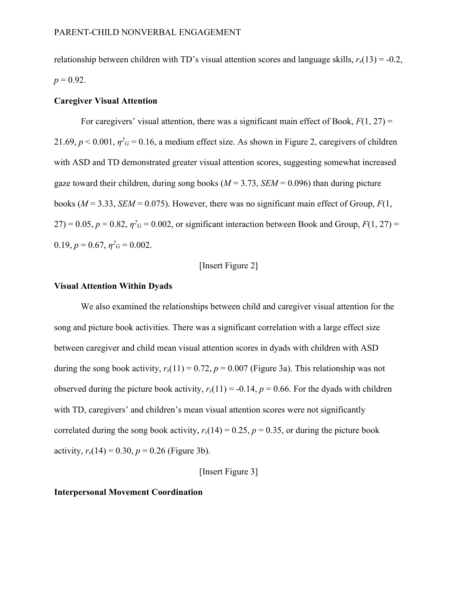relationship between children with TD's visual attention scores and language skills,  $r_s(13) = -0.2$ ,  $p = 0.92$ .

#### **Caregiver Visual Attention**

For caregivers' visual attention, there was a significant main effect of Book,  $F(1, 27) =$ 21.69,  $p < 0.001$ ,  $\eta^2 G = 0.16$ , a medium effect size. As shown in Figure 2, caregivers of children with ASD and TD demonstrated greater visual attention scores, suggesting somewhat increased gaze toward their children, during song books (*M* = 3.73, *SEM* = 0.096) than during picture books ( $M = 3.33$ , *SEM* = 0.075). However, there was no significant main effect of Group,  $F(1, 1)$  $27$ ) = 0.05,  $p = 0.82$ ,  $\eta^2 G = 0.002$ , or significant interaction between Book and Group,  $F(1, 27) =$ 0.19,  $p = 0.67$ ,  $\eta^2 G = 0.002$ .

#### [Insert Figure 2]

#### **Visual Attention Within Dyads**

We also examined the relationships between child and caregiver visual attention for the song and picture book activities. There was a significant correlation with a large effect size between caregiver and child mean visual attention scores in dyads with children with ASD during the song book activity,  $r_s(11) = 0.72$ ,  $p = 0.007$  (Figure 3a). This relationship was not observed during the picture book activity,  $r_s(11) = -0.14$ ,  $p = 0.66$ . For the dyads with children with TD, caregivers' and children's mean visual attention scores were not significantly correlated during the song book activity,  $r_s(14) = 0.25$ ,  $p = 0.35$ , or during the picture book activity,  $r_s(14) = 0.30$ ,  $p = 0.26$  (Figure 3b).

#### [Insert Figure 3]

#### **Interpersonal Movement Coordination**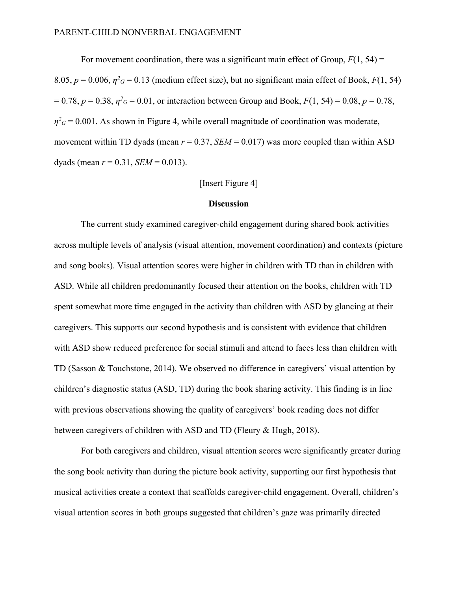For movement coordination, there was a significant main effect of Group,  $F(1, 54)$  = 8.05,  $p = 0.006$ ,  $\eta^2 G = 0.13$  (medium effect size), but no significant main effect of Book,  $F(1, 54)$  $F(1, 54) = 0.78$ ,  $p = 0.38$ ,  $\eta^2 G = 0.01$ , or interaction between Group and Book,  $F(1, 54) = 0.08$ ,  $p = 0.78$ ,  $\eta^2 G = 0.001$ . As shown in Figure 4, while overall magnitude of coordination was moderate, movement within TD dyads (mean  $r = 0.37$ , *SEM* = 0.017) was more coupled than within ASD dyads (mean *r* = 0.31, *SEM* = 0.013).

#### [Insert Figure 4]

#### **Discussion**

The current study examined caregiver-child engagement during shared book activities across multiple levels of analysis (visual attention, movement coordination) and contexts (picture and song books). Visual attention scores were higher in children with TD than in children with ASD. While all children predominantly focused their attention on the books, children with TD spent somewhat more time engaged in the activity than children with ASD by glancing at their caregivers. This supports our second hypothesis and is consistent with evidence that children with ASD show reduced preference for social stimuli and attend to faces less than children with TD (Sasson & Touchstone, 2014). We observed no difference in caregivers' visual attention by children's diagnostic status (ASD, TD) during the book sharing activity. This finding is in line with previous observations showing the quality of caregivers' book reading does not differ between caregivers of children with ASD and TD (Fleury & Hugh, 2018).

For both caregivers and children, visual attention scores were significantly greater during the song book activity than during the picture book activity, supporting our first hypothesis that musical activities create a context that scaffolds caregiver-child engagement. Overall, children's visual attention scores in both groups suggested that children's gaze was primarily directed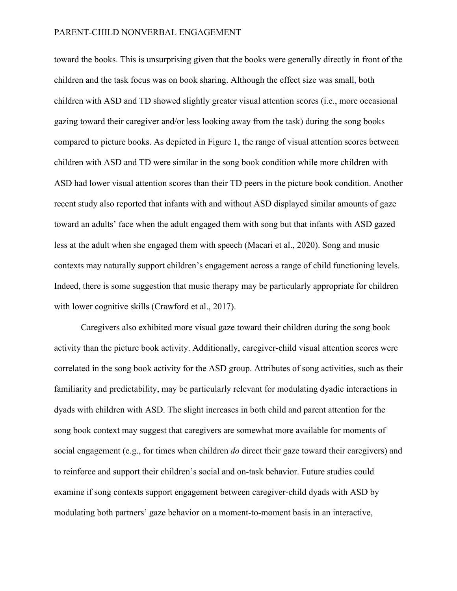toward the books. This is unsurprising given that the books were generally directly in front of the children and the task focus was on book sharing. Although the effect size was small, both children with ASD and TD showed slightly greater visual attention scores (i.e., more occasional gazing toward their caregiver and/or less looking away from the task) during the song books compared to picture books. As depicted in Figure 1, the range of visual attention scores between children with ASD and TD were similar in the song book condition while more children with ASD had lower visual attention scores than their TD peers in the picture book condition. Another recent study also reported that infants with and without ASD displayed similar amounts of gaze toward an adults' face when the adult engaged them with song but that infants with ASD gazed less at the adult when she engaged them with speech (Macari et al., 2020). Song and music contexts may naturally support children's engagement across a range of child functioning levels. Indeed, there is some suggestion that music therapy may be particularly appropriate for children with lower cognitive skills (Crawford et al., 2017).

Caregivers also exhibited more visual gaze toward their children during the song book activity than the picture book activity. Additionally, caregiver-child visual attention scores were correlated in the song book activity for the ASD group. Attributes of song activities, such as their familiarity and predictability, may be particularly relevant for modulating dyadic interactions in dyads with children with ASD. The slight increases in both child and parent attention for the song book context may suggest that caregivers are somewhat more available for moments of social engagement (e.g., for times when children *do* direct their gaze toward their caregivers) and to reinforce and support their children's social and on-task behavior. Future studies could examine if song contexts support engagement between caregiver-child dyads with ASD by modulating both partners' gaze behavior on a moment-to-moment basis in an interactive,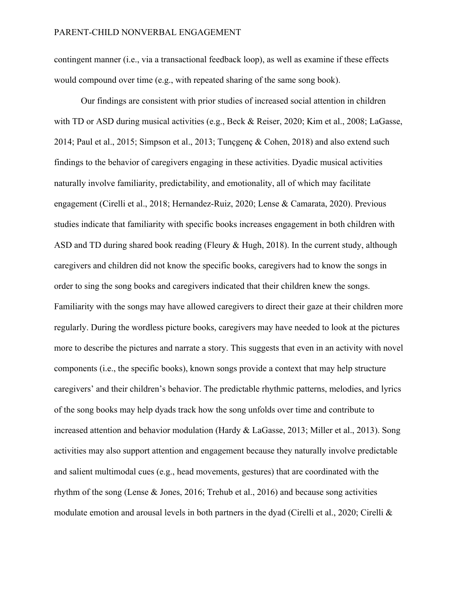contingent manner (i.e., via a transactional feedback loop), as well as examine if these effects would compound over time (e.g., with repeated sharing of the same song book).

Our findings are consistent with prior studies of increased social attention in children with TD or ASD during musical activities (e.g., Beck & Reiser, 2020; Kim et al., 2008; LaGasse, 2014; Paul et al., 2015; Simpson et al., 2013; Tunçgenç & Cohen, 2018) and also extend such findings to the behavior of caregivers engaging in these activities. Dyadic musical activities naturally involve familiarity, predictability, and emotionality, all of which may facilitate engagement (Cirelli et al., 2018; Hernandez-Ruiz, 2020; Lense & Camarata, 2020). Previous studies indicate that familiarity with specific books increases engagement in both children with ASD and TD during shared book reading (Fleury & Hugh, 2018). In the current study, although caregivers and children did not know the specific books, caregivers had to know the songs in order to sing the song books and caregivers indicated that their children knew the songs. Familiarity with the songs may have allowed caregivers to direct their gaze at their children more regularly. During the wordless picture books, caregivers may have needed to look at the pictures more to describe the pictures and narrate a story. This suggests that even in an activity with novel components (i.e., the specific books), known songs provide a context that may help structure caregivers' and their children's behavior. The predictable rhythmic patterns, melodies, and lyrics of the song books may help dyads track how the song unfolds over time and contribute to increased attention and behavior modulation (Hardy & LaGasse, 2013; Miller et al., 2013). Song activities may also support attention and engagement because they naturally involve predictable and salient multimodal cues (e.g., head movements, gestures) that are coordinated with the rhythm of the song (Lense & Jones, 2016; Trehub et al., 2016) and because song activities modulate emotion and arousal levels in both partners in the dyad (Cirelli et al., 2020; Cirelli &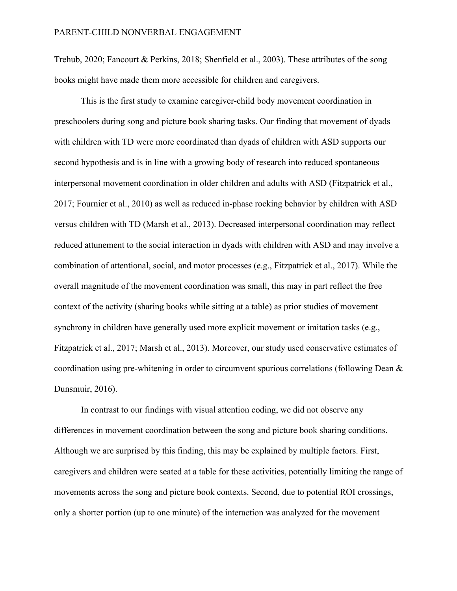Trehub, 2020; Fancourt & Perkins, 2018; Shenfield et al., 2003). These attributes of the song books might have made them more accessible for children and caregivers.

This is the first study to examine caregiver-child body movement coordination in preschoolers during song and picture book sharing tasks. Our finding that movement of dyads with children with TD were more coordinated than dyads of children with ASD supports our second hypothesis and is in line with a growing body of research into reduced spontaneous interpersonal movement coordination in older children and adults with ASD (Fitzpatrick et al., 2017; Fournier et al., 2010) as well as reduced in-phase rocking behavior by children with ASD versus children with TD (Marsh et al., 2013). Decreased interpersonal coordination may reflect reduced attunement to the social interaction in dyads with children with ASD and may involve a combination of attentional, social, and motor processes (e.g., Fitzpatrick et al., 2017). While the overall magnitude of the movement coordination was small, this may in part reflect the free context of the activity (sharing books while sitting at a table) as prior studies of movement synchrony in children have generally used more explicit movement or imitation tasks (e.g., Fitzpatrick et al., 2017; Marsh et al., 2013). Moreover, our study used conservative estimates of coordination using pre-whitening in order to circumvent spurious correlations (following Dean & Dunsmuir, 2016).

In contrast to our findings with visual attention coding, we did not observe any differences in movement coordination between the song and picture book sharing conditions. Although we are surprised by this finding, this may be explained by multiple factors. First, caregivers and children were seated at a table for these activities, potentially limiting the range of movements across the song and picture book contexts. Second, due to potential ROI crossings, only a shorter portion (up to one minute) of the interaction was analyzed for the movement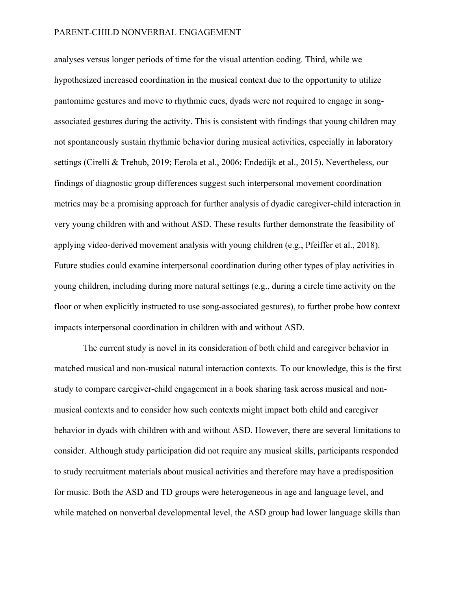analyses versus longer periods of time for the visual attention coding. Third, while we hypothesized increased coordination in the musical context due to the opportunity to utilize pantomime gestures and move to rhythmic cues, dyads were not required to engage in songassociated gestures during the activity. This is consistent with findings that young children may not spontaneously sustain rhythmic behavior during musical activities, especially in laboratory settings (Cirelli & Trehub, 2019; Eerola et al., 2006; Endedijk et al., 2015). Nevertheless, our findings of diagnostic group differences suggest such interpersonal movement coordination metrics may be a promising approach for further analysis of dyadic caregiver-child interaction in very young children with and without ASD. These results further demonstrate the feasibility of applying video-derived movement analysis with young children (e.g., Pfeiffer et al., 2018). Future studies could examine interpersonal coordination during other types of play activities in young children, including during more natural settings (e.g., during a circle time activity on the floor or when explicitly instructed to use song-associated gestures), to further probe how context impacts interpersonal coordination in children with and without ASD.

The current study is novel in its consideration of both child and caregiver behavior in matched musical and non-musical natural interaction contexts. To our knowledge, this is the first study to compare caregiver-child engagement in a book sharing task across musical and nonmusical contexts and to consider how such contexts might impact both child and caregiver behavior in dyads with children with and without ASD. However, there are several limitations to consider. Although study participation did not require any musical skills, participants responded to study recruitment materials about musical activities and therefore may have a predisposition for music. Both the ASD and TD groups were heterogeneous in age and language level, and while matched on nonverbal developmental level, the ASD group had lower language skills than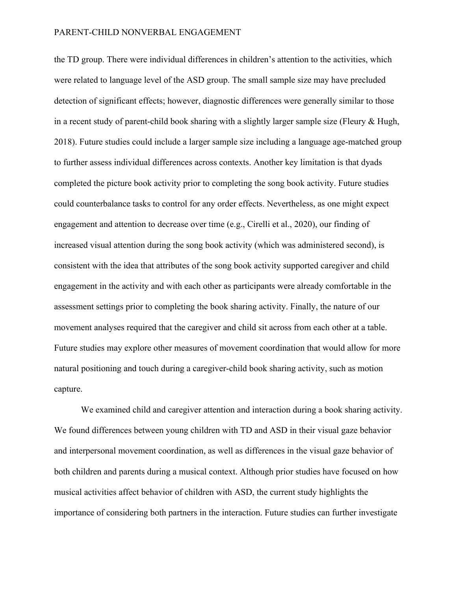the TD group. There were individual differences in children's attention to the activities, which were related to language level of the ASD group. The small sample size may have precluded detection of significant effects; however, diagnostic differences were generally similar to those in a recent study of parent-child book sharing with a slightly larger sample size (Fleury & Hugh, 2018). Future studies could include a larger sample size including a language age-matched group to further assess individual differences across contexts. Another key limitation is that dyads completed the picture book activity prior to completing the song book activity. Future studies could counterbalance tasks to control for any order effects. Nevertheless, as one might expect engagement and attention to decrease over time (e.g., Cirelli et al., 2020), our finding of increased visual attention during the song book activity (which was administered second), is consistent with the idea that attributes of the song book activity supported caregiver and child engagement in the activity and with each other as participants were already comfortable in the assessment settings prior to completing the book sharing activity. Finally, the nature of our movement analyses required that the caregiver and child sit across from each other at a table. Future studies may explore other measures of movement coordination that would allow for more natural positioning and touch during a caregiver-child book sharing activity, such as motion capture.

We examined child and caregiver attention and interaction during a book sharing activity. We found differences between young children with TD and ASD in their visual gaze behavior and interpersonal movement coordination, as well as differences in the visual gaze behavior of both children and parents during a musical context. Although prior studies have focused on how musical activities affect behavior of children with ASD, the current study highlights the importance of considering both partners in the interaction. Future studies can further investigate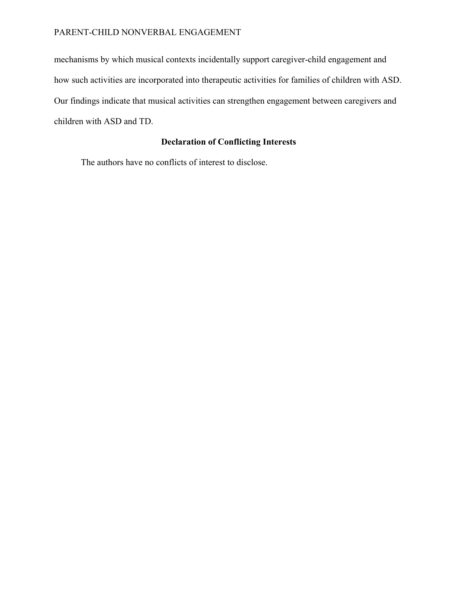mechanisms by which musical contexts incidentally support caregiver-child engagement and how such activities are incorporated into therapeutic activities for families of children with ASD. Our findings indicate that musical activities can strengthen engagement between caregivers and children with ASD and TD.

# **Declaration of Conflicting Interests**

The authors have no conflicts of interest to disclose.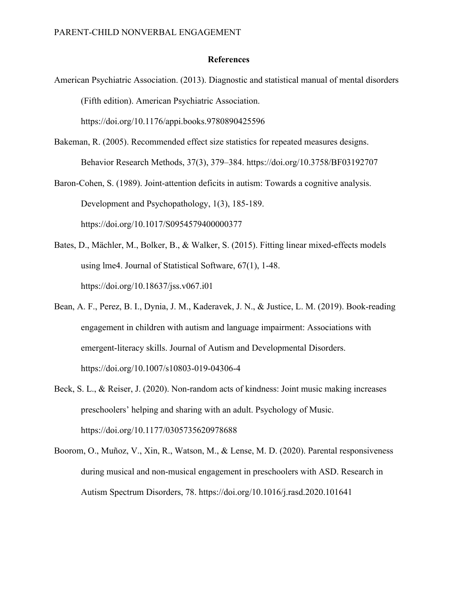#### **References**

American Psychiatric Association. (2013). Diagnostic and statistical manual of mental disorders (Fifth edition). American Psychiatric Association.

https://doi.org/10.1176/appi.books.9780890425596

- Bakeman, R. (2005). Recommended effect size statistics for repeated measures designs. Behavior Research Methods, 37(3), 379–384. https://doi.org/10.3758/BF03192707
- Baron-Cohen, S. (1989). Joint-attention deficits in autism: Towards a cognitive analysis. Development and Psychopathology, 1(3), 185-189. https://doi.org/10.1017/S0954579400000377
- Bates, D., Mächler, M., Bolker, B., & Walker, S. (2015). Fitting linear mixed-effects models using lme4. Journal of Statistical Software, 67(1), 1-48. https://doi.org/10.18637/jss.v067.i01
- Bean, A. F., Perez, B. I., Dynia, J. M., Kaderavek, J. N., & Justice, L. M. (2019). Book-reading engagement in children with autism and language impairment: Associations with emergent-literacy skills. Journal of Autism and Developmental Disorders. https://doi.org/10.1007/s10803-019-04306-4
- Beck, S. L., & Reiser, J. (2020). Non-random acts of kindness: Joint music making increases preschoolers' helping and sharing with an adult. Psychology of Music. https://doi.org/10.1177/0305735620978688
- Boorom, O., Muñoz, V., Xin, R., Watson, M., & Lense, M. D. (2020). Parental responsiveness during musical and non-musical engagement in preschoolers with ASD. Research in Autism Spectrum Disorders, 78. https://doi.org/10.1016/j.rasd.2020.101641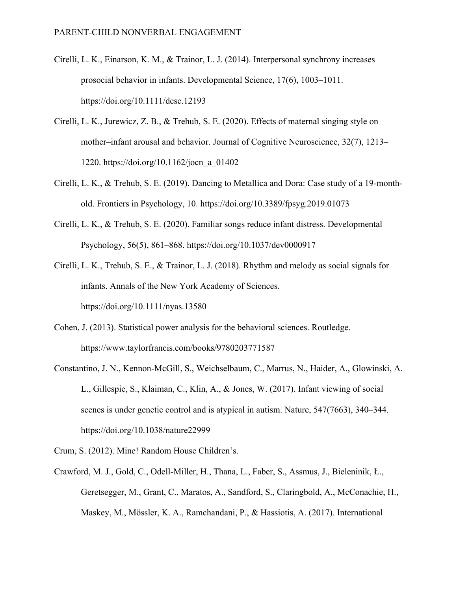- Cirelli, L. K., Einarson, K. M., & Trainor, L. J. (2014). Interpersonal synchrony increases prosocial behavior in infants. Developmental Science, 17(6), 1003–1011. https://doi.org/10.1111/desc.12193
- Cirelli, L. K., Jurewicz, Z. B., & Trehub, S. E. (2020). Effects of maternal singing style on mother–infant arousal and behavior. Journal of Cognitive Neuroscience, 32(7), 1213– 1220. https://doi.org/10.1162/jocn\_a\_01402
- Cirelli, L. K., & Trehub, S. E. (2019). Dancing to Metallica and Dora: Case study of a 19-monthold. Frontiers in Psychology, 10. https://doi.org/10.3389/fpsyg.2019.01073
- Cirelli, L. K., & Trehub, S. E. (2020). Familiar songs reduce infant distress. Developmental Psychology, 56(5), 861–868. https://doi.org/10.1037/dev0000917
- Cirelli, L. K., Trehub, S. E., & Trainor, L. J. (2018). Rhythm and melody as social signals for infants. Annals of the New York Academy of Sciences. https://doi.org/10.1111/nyas.13580
- Cohen, J. (2013). Statistical power analysis for the behavioral sciences. Routledge. https://www.taylorfrancis.com/books/9780203771587
- Constantino, J. N., Kennon-McGill, S., Weichselbaum, C., Marrus, N., Haider, A., Glowinski, A. L., Gillespie, S., Klaiman, C., Klin, A., & Jones, W. (2017). Infant viewing of social scenes is under genetic control and is atypical in autism. Nature, 547(7663), 340–344. https://doi.org/10.1038/nature22999
- Crum, S. (2012). Mine! Random House Children's.
- Crawford, M. J., Gold, C., Odell-Miller, H., Thana, L., Faber, S., Assmus, J., Bieleninik, Ł., Geretsegger, M., Grant, C., Maratos, A., Sandford, S., Claringbold, A., McConachie, H., Maskey, M., Mössler, K. A., Ramchandani, P., & Hassiotis, A. (2017). International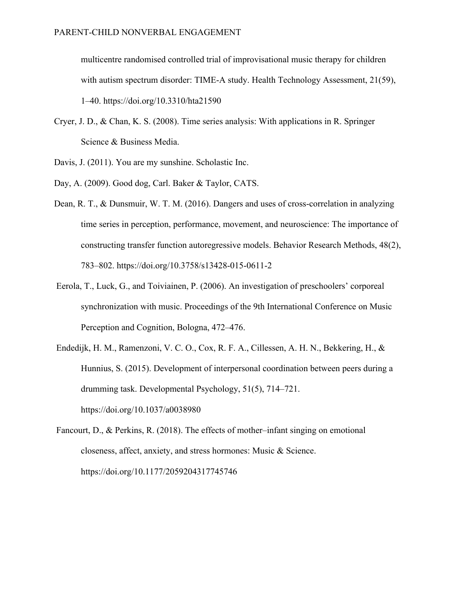multicentre randomised controlled trial of improvisational music therapy for children with autism spectrum disorder: TIME-A study. Health Technology Assessment, 21(59), 1–40. https://doi.org/10.3310/hta21590

- Cryer, J. D., & Chan, K. S. (2008). Time series analysis: With applications in R. Springer Science & Business Media.
- Davis, J. (2011). You are my sunshine. Scholastic Inc.
- Day, A. (2009). Good dog, Carl. Baker & Taylor, CATS.
- Dean, R. T., & Dunsmuir, W. T. M. (2016). Dangers and uses of cross-correlation in analyzing time series in perception, performance, movement, and neuroscience: The importance of constructing transfer function autoregressive models. Behavior Research Methods, 48(2), 783–802. https://doi.org/10.3758/s13428-015-0611-2
- Eerola, T., Luck, G., and Toiviainen, P. (2006). An investigation of preschoolers' corporeal synchronization with music. Proceedings of the 9th International Conference on Music Perception and Cognition, Bologna, 472–476.
- Endedijk, H. M., Ramenzoni, V. C. O., Cox, R. F. A., Cillessen, A. H. N., Bekkering, H., & Hunnius, S. (2015). Development of interpersonal coordination between peers during a drumming task. Developmental Psychology, 51(5), 714–721. https://doi.org/10.1037/a0038980
- Fancourt, D., & Perkins, R. (2018). The effects of mother–infant singing on emotional closeness, affect, anxiety, and stress hormones: Music & Science. https://doi.org/10.1177/2059204317745746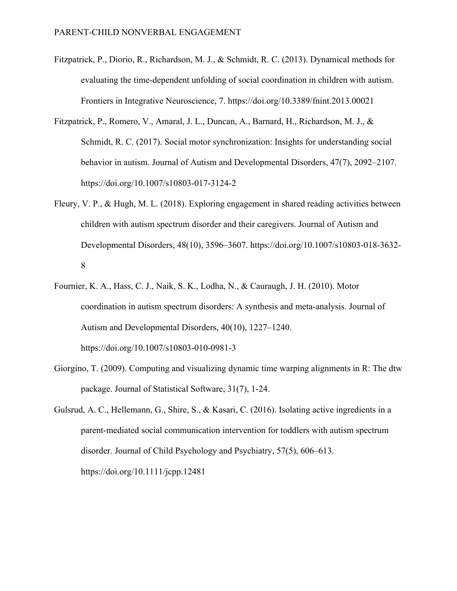- Fitzpatrick, P., Diorio, R., Richardson, M. J., & Schmidt, R. C. (2013). Dynamical methods for evaluating the time-dependent unfolding of social coordination in children with autism. Frontiers in Integrative Neuroscience, 7. https://doi.org/10.3389/fnint.2013.00021
- Fitzpatrick, P., Romero, V., Amaral, J. L., Duncan, A., Barnard, H., Richardson, M. J., & Schmidt, R. C. (2017). Social motor synchronization: Insights for understanding social behavior in autism. Journal of Autism and Developmental Disorders, 47(7), 2092–2107. https://doi.org/10.1007/s10803-017-3124-2
- Fleury, V. P., & Hugh, M. L. (2018). Exploring engagement in shared reading activities between children with autism spectrum disorder and their caregivers. Journal of Autism and Developmental Disorders, 48(10), 3596–3607. https://doi.org/10.1007/s10803-018-3632- 8
- Fournier, K. A., Hass, C. J., Naik, S. K., Lodha, N., & Cauraugh, J. H. (2010). Motor coordination in autism spectrum disorders: A synthesis and meta-analysis. Journal of Autism and Developmental Disorders, 40(10), 1227–1240. https://doi.org/10.1007/s10803-010-0981-3
- Giorgino, T. (2009). Computing and visualizing dynamic time warping alignments in R: The dtw package. Journal of Statistical Software, 31(7), 1-24.
- Gulsrud, A. C., Hellemann, G., Shire, S., & Kasari, C. (2016). Isolating active ingredients in a parent-mediated social communication intervention for toddlers with autism spectrum disorder. Journal of Child Psychology and Psychiatry, 57(5), 606–613. https://doi.org/10.1111/jcpp.12481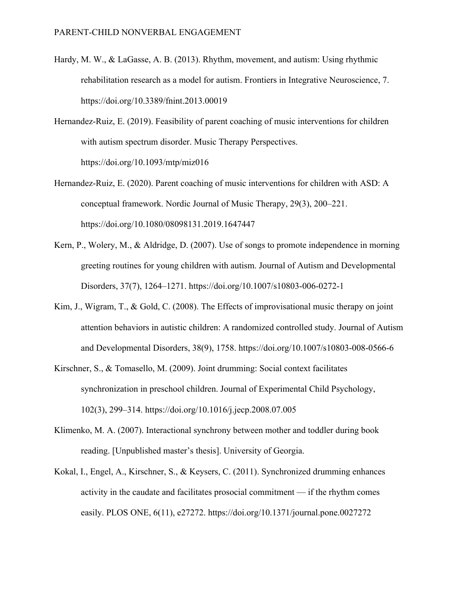- Hardy, M. W., & LaGasse, A. B. (2013). Rhythm, movement, and autism: Using rhythmic rehabilitation research as a model for autism. Frontiers in Integrative Neuroscience, 7. https://doi.org/10.3389/fnint.2013.00019
- Hernandez-Ruiz, E. (2019). Feasibility of parent coaching of music interventions for children with autism spectrum disorder. Music Therapy Perspectives. https://doi.org/10.1093/mtp/miz016
- Hernandez-Ruiz, E. (2020). Parent coaching of music interventions for children with ASD: A conceptual framework. Nordic Journal of Music Therapy, 29(3), 200–221. https://doi.org/10.1080/08098131.2019.1647447
- Kern, P., Wolery, M., & Aldridge, D. (2007). Use of songs to promote independence in morning greeting routines for young children with autism. Journal of Autism and Developmental Disorders, 37(7), 1264–1271. https://doi.org/10.1007/s10803-006-0272-1
- Kim, J., Wigram, T., & Gold, C. (2008). The Effects of improvisational music therapy on joint attention behaviors in autistic children: A randomized controlled study. Journal of Autism and Developmental Disorders, 38(9), 1758. https://doi.org/10.1007/s10803-008-0566-6
- Kirschner, S., & Tomasello, M. (2009). Joint drumming: Social context facilitates synchronization in preschool children. Journal of Experimental Child Psychology, 102(3), 299–314. https://doi.org/10.1016/j.jecp.2008.07.005
- Klimenko, M. A. (2007). Interactional synchrony between mother and toddler during book reading. [Unpublished master's thesis]. University of Georgia.
- Kokal, I., Engel, A., Kirschner, S., & Keysers, C. (2011). Synchronized drumming enhances activity in the caudate and facilitates prosocial commitment — if the rhythm comes easily. PLOS ONE, 6(11), e27272. https://doi.org/10.1371/journal.pone.0027272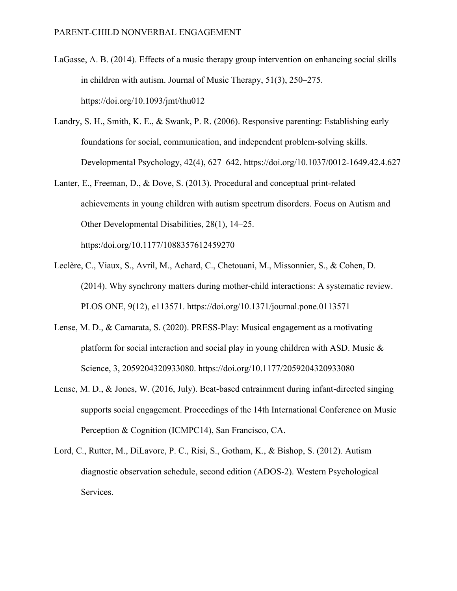- LaGasse, A. B. (2014). Effects of a music therapy group intervention on enhancing social skills in children with autism. Journal of Music Therapy, 51(3), 250–275. https://doi.org/10.1093/jmt/thu012
- Landry, S. H., Smith, K. E., & Swank, P. R. (2006). Responsive parenting: Establishing early foundations for social, communication, and independent problem-solving skills. Developmental Psychology, 42(4), 627–642. https://doi.org/10.1037/0012-1649.42.4.627
- Lanter, E., Freeman, D., & Dove, S. (2013). Procedural and conceptual print-related achievements in young children with autism spectrum disorders. Focus on Autism and Other Developmental Disabilities, 28(1), 14–25. https:/doi.org/10.1177/1088357612459270
- Leclère, C., Viaux, S., Avril, M., Achard, C., Chetouani, M., Missonnier, S., & Cohen, D. (2014). Why synchrony matters during mother-child interactions: A systematic review. PLOS ONE, 9(12), e113571. https://doi.org/10.1371/journal.pone.0113571
- Lense, M. D., & Camarata, S. (2020). PRESS-Play: Musical engagement as a motivating platform for social interaction and social play in young children with ASD. Music  $\&$ Science, 3, 2059204320933080. https://doi.org/10.1177/2059204320933080
- Lense, M. D., & Jones, W. (2016, July). Beat-based entrainment during infant-directed singing supports social engagement. Proceedings of the 14th International Conference on Music Perception & Cognition (ICMPC14), San Francisco, CA.
- Lord, C., Rutter, M., DiLavore, P. C., Risi, S., Gotham, K., & Bishop, S. (2012). Autism diagnostic observation schedule, second edition (ADOS-2). Western Psychological Services.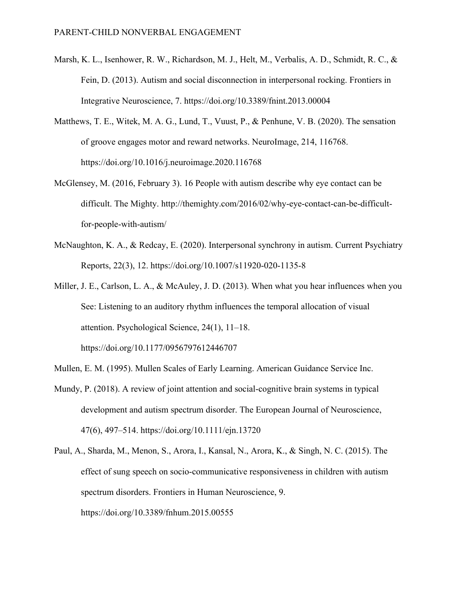- Marsh, K. L., Isenhower, R. W., Richardson, M. J., Helt, M., Verbalis, A. D., Schmidt, R. C., & Fein, D. (2013). Autism and social disconnection in interpersonal rocking. Frontiers in Integrative Neuroscience, 7. https://doi.org/10.3389/fnint.2013.00004
- Matthews, T. E., Witek, M. A. G., Lund, T., Vuust, P., & Penhune, V. B. (2020). The sensation of groove engages motor and reward networks. NeuroImage, 214, 116768. https://doi.org/10.1016/j.neuroimage.2020.116768
- McGlensey, M. (2016, February 3). 16 People with autism describe why eye contact can be difficult. The Mighty. http://themighty.com/2016/02/why-eye-contact-can-be-difficultfor-people-with-autism/
- McNaughton, K. A., & Redcay, E. (2020). Interpersonal synchrony in autism. Current Psychiatry Reports, 22(3), 12. https://doi.org/10.1007/s11920-020-1135-8
- Miller, J. E., Carlson, L. A., & McAuley, J. D. (2013). When what you hear influences when you See: Listening to an auditory rhythm influences the temporal allocation of visual attention. Psychological Science, 24(1), 11–18. https://doi.org/10.1177/0956797612446707

Mullen, E. M. (1995). Mullen Scales of Early Learning. American Guidance Service Inc.

- Mundy, P. (2018). A review of joint attention and social-cognitive brain systems in typical development and autism spectrum disorder. The European Journal of Neuroscience, 47(6), 497–514. https://doi.org/10.1111/ejn.13720
- Paul, A., Sharda, M., Menon, S., Arora, I., Kansal, N., Arora, K., & Singh, N. C. (2015). The effect of sung speech on socio-communicative responsiveness in children with autism spectrum disorders. Frontiers in Human Neuroscience, 9. https://doi.org/10.3389/fnhum.2015.00555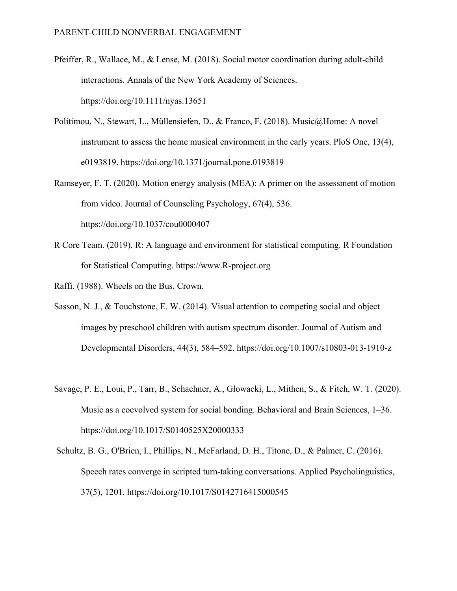- Pfeiffer, R., Wallace, M., & Lense, M. (2018). Social motor coordination during adult-child interactions. Annals of the New York Academy of Sciences. https://doi.org/10.1111/nyas.13651
- Politimou, N., Stewart, L., Müllensiefen, D., & Franco, F. (2018). Music@Home: A novel instrument to assess the home musical environment in the early years. PloS One, 13(4), e0193819. https://doi.org/10.1371/journal.pone.0193819
- Ramseyer, F. T. (2020). Motion energy analysis (MEA): A primer on the assessment of motion from video. Journal of Counseling Psychology, 67(4), 536. https://doi.org/10.1037/cou0000407
- R Core Team. (2019). R: A language and environment for statistical computing. R Foundation for Statistical Computing. https://www.R-project.org
- Raffi. (1988). Wheels on the Bus. Crown.
- Sasson, N. J., & Touchstone, E. W. (2014). Visual attention to competing social and object images by preschool children with autism spectrum disorder. Journal of Autism and Developmental Disorders, 44(3), 584–592. https://doi.org/10.1007/s10803-013-1910-z
- Savage, P. E., Loui, P., Tarr, B., Schachner, A., Glowacki, L., Mithen, S., & Fitch, W. T. (2020). Music as a coevolved system for social bonding. Behavioral and Brain Sciences, 1–36. https://doi.org/10.1017/S0140525X20000333
- Schultz, B. G., O'Brien, I., Phillips, N., McFarland, D. H., Titone, D., & Palmer, C. (2016). Speech rates converge in scripted turn-taking conversations. Applied Psycholinguistics, 37(5), 1201. https://doi.org/10.1017/S0142716415000545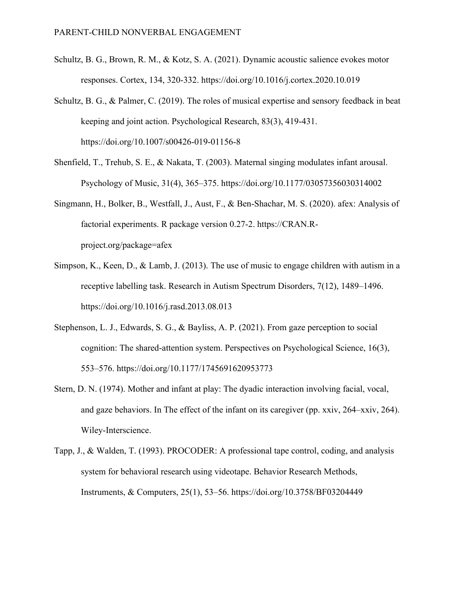- Schultz, B. G., Brown, R. M., & Kotz, S. A. (2021). Dynamic acoustic salience evokes motor responses. Cortex, 134, 320-332. https://doi.org/10.1016/j.cortex.2020.10.019
- Schultz, B. G., & Palmer, C. (2019). The roles of musical expertise and sensory feedback in beat keeping and joint action. Psychological Research, 83(3), 419-431. https://doi.org/10.1007/s00426-019-01156-8
- Shenfield, T., Trehub, S. E., & Nakata, T. (2003). Maternal singing modulates infant arousal. Psychology of Music, 31(4), 365–375. https://doi.org/10.1177/03057356030314002
- Singmann, H., Bolker, B., Westfall, J., Aust, F., & Ben-Shachar, M. S. (2020). afex: Analysis of factorial experiments. R package version 0.27-2. https://CRAN.Rproject.org/package=afex
- Simpson, K., Keen, D., & Lamb, J. (2013). The use of music to engage children with autism in a receptive labelling task. Research in Autism Spectrum Disorders, 7(12), 1489–1496. https://doi.org/10.1016/j.rasd.2013.08.013
- Stephenson, L. J., Edwards, S. G., & Bayliss, A. P. (2021). From gaze perception to social cognition: The shared-attention system. Perspectives on Psychological Science, 16(3), 553–576. https://doi.org/10.1177/1745691620953773
- Stern, D. N. (1974). Mother and infant at play: The dyadic interaction involving facial, vocal, and gaze behaviors. In The effect of the infant on its caregiver (pp. xxiv, 264–xxiv, 264). Wiley-Interscience.
- Tapp, J., & Walden, T. (1993). PROCODER: A professional tape control, coding, and analysis system for behavioral research using videotape. Behavior Research Methods, Instruments, & Computers, 25(1), 53–56. https://doi.org/10.3758/BF03204449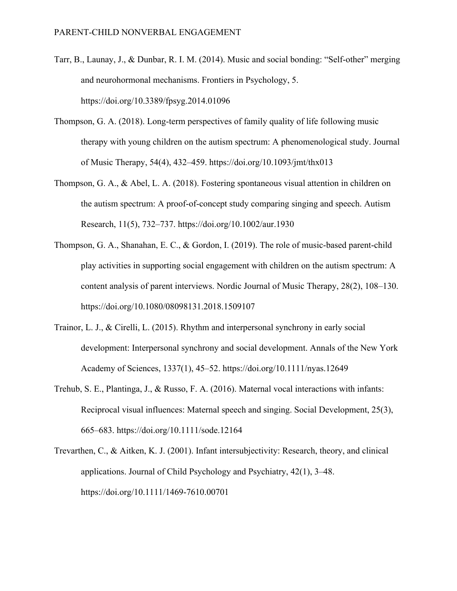- Tarr, B., Launay, J., & Dunbar, R. I. M. (2014). Music and social bonding: "Self-other" merging and neurohormonal mechanisms. Frontiers in Psychology, 5. https://doi.org/10.3389/fpsyg.2014.01096
- Thompson, G. A. (2018). Long-term perspectives of family quality of life following music therapy with young children on the autism spectrum: A phenomenological study. Journal of Music Therapy, 54(4), 432–459. https://doi.org/10.1093/jmt/thx013
- Thompson, G. A., & Abel, L. A. (2018). Fostering spontaneous visual attention in children on the autism spectrum: A proof-of-concept study comparing singing and speech. Autism Research, 11(5), 732–737. https://doi.org/10.1002/aur.1930
- Thompson, G. A., Shanahan, E. C., & Gordon, I. (2019). The role of music-based parent-child play activities in supporting social engagement with children on the autism spectrum: A content analysis of parent interviews. Nordic Journal of Music Therapy, 28(2), 108–130. https://doi.org/10.1080/08098131.2018.1509107
- Trainor, L. J., & Cirelli, L. (2015). Rhythm and interpersonal synchrony in early social development: Interpersonal synchrony and social development. Annals of the New York Academy of Sciences, 1337(1), 45–52. https://doi.org/10.1111/nyas.12649
- Trehub, S. E., Plantinga, J., & Russo, F. A. (2016). Maternal vocal interactions with infants: Reciprocal visual influences: Maternal speech and singing. Social Development, 25(3), 665–683. https://doi.org/10.1111/sode.12164
- Trevarthen, C., & Aitken, K. J. (2001). Infant intersubjectivity: Research, theory, and clinical applications. Journal of Child Psychology and Psychiatry, 42(1), 3–48. https://doi.org/10.1111/1469-7610.00701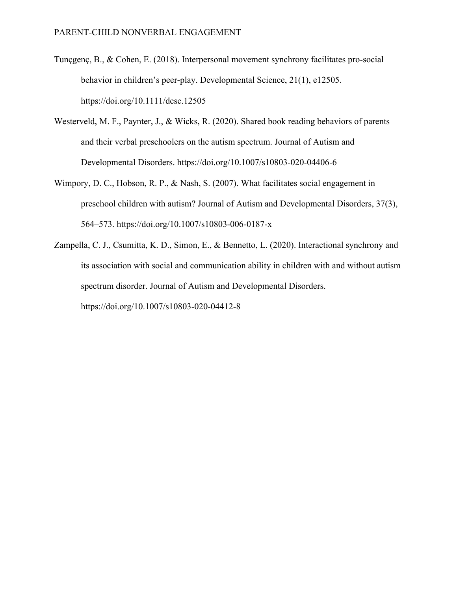- Tunçgenç, B., & Cohen, E. (2018). Interpersonal movement synchrony facilitates pro-social behavior in children's peer-play. Developmental Science, 21(1), e12505. https://doi.org/10.1111/desc.12505
- Westerveld, M. F., Paynter, J., & Wicks, R. (2020). Shared book reading behaviors of parents and their verbal preschoolers on the autism spectrum. Journal of Autism and Developmental Disorders. https://doi.org/10.1007/s10803-020-04406-6
- Wimpory, D. C., Hobson, R. P., & Nash, S. (2007). What facilitates social engagement in preschool children with autism? Journal of Autism and Developmental Disorders, 37(3), 564–573. https://doi.org/10.1007/s10803-006-0187-x
- Zampella, C. J., Csumitta, K. D., Simon, E., & Bennetto, L. (2020). Interactional synchrony and its association with social and communication ability in children with and without autism spectrum disorder. Journal of Autism and Developmental Disorders. https://doi.org/10.1007/s10803-020-04412-8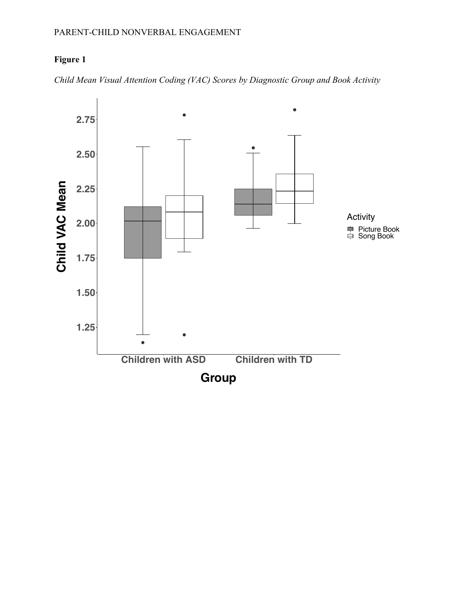# **Figure 1**

*Child Mean Visual Attention Coding (VAC) Scores by Diagnostic Group and Book Activity*

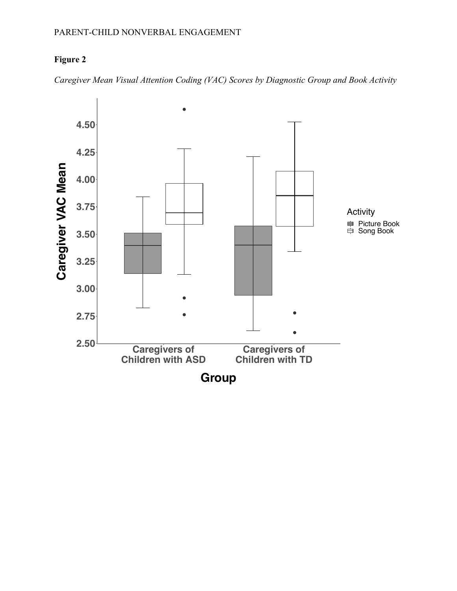# **Figure 2**

*Caregiver Mean Visual Attention Coding (VAC) Scores by Diagnostic Group and Book Activity*

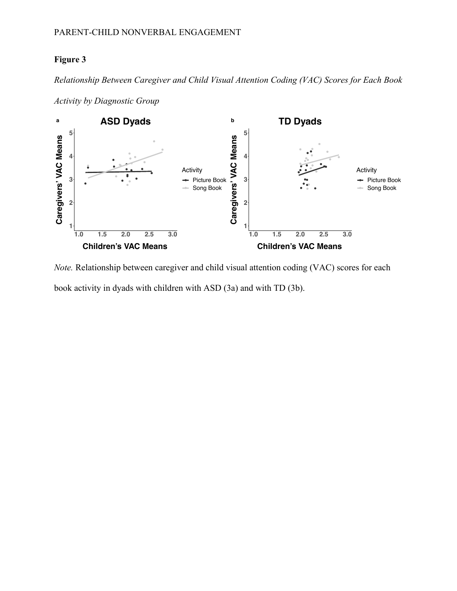# **Figure 3**

*Relationship Between Caregiver and Child Visual Attention Coding (VAC) Scores for Each Book* 



*Activity by Diagnostic Group*

*Note.* Relationship between caregiver and child visual attention coding (VAC) scores for each book activity in dyads with children with ASD (3a) and with TD (3b).